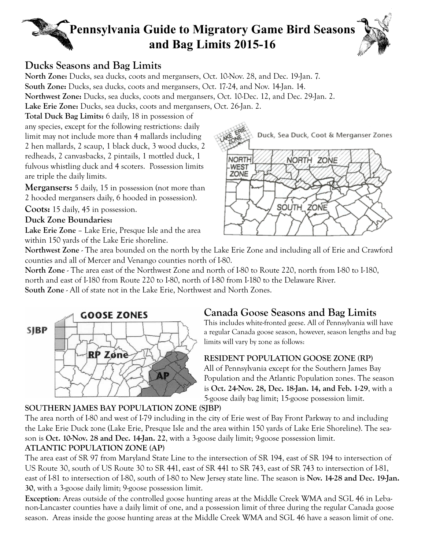# **Pennsylvania Guide to Migratory Game Bird Seasons and Bag Limits 2015-16**



### **Ducks Seasons and Bag Limits**

**North Zone:** Ducks, sea ducks, coots and mergansers, Oct. 10-Nov. 28, and Dec. 19-Jan. 7. **South Zone:** Ducks, sea ducks, coots and mergansers, Oct. 17-24, and Nov. 14-Jan. 14. **Northwest Zone:** Ducks, sea ducks, coots and mergansers, Oct. 10-Dec. 12, and Dec. 29-Jan. 2. **Lake Erie Zone:** Ducks, sea ducks, coots and mergansers, Oct. 26-Jan. 2.

**Total Duck Bag Limits:** 6 daily, 18 in possession of any species, except for the following restrictions: daily limit may not include more than 4 mallards including 2 hen mallards, 2 scaup, 1 black duck, 3 wood ducks, 2 redheads, 2 canvasbacks, 2 pintails, 1 mottled duck, 1 fulvous whistling duck and 4 scoters. Possession limits are triple the daily limits.

**Mergansers:** 5 daily, 15 in possession (not more than 2 hooded mergansers daily, 6 hooded in possession).

**Coots:** 15 daily, 45 in possession.

### **Duck Zone Boundaries:**

**Lake Erie Zone** – Lake Erie, Presque Isle and the area within 150 yards of the Lake Erie shoreline.



**Northwest Zone** - The area bounded on the north by the Lake Erie Zone and including all of Erie and Crawford counties and all of Mercer and Venango counties north of I-80.

**North Zone** - The area east of the Northwest Zone and north of I-80 to Route 220, north from I-80 to I-180, north and east of I-180 from Route 220 to I-80, north of I-80 from I-180 to the Delaware River. **South Zone** - All of state not in the Lake Erie, Northwest and North Zones.



# **Canada Goose Seasons and Bag Limits**

This includes white-fronted geese. All of Pennsylvania will have a regular Canada goose season, however, season lengths and bag limits will vary by zone as follows:

### **RESIDENT POPULATION GOOSE ZONE (RP)**

All of Pennsylvania except for the Southern James Bay Population and the Atlantic Population zones. The season is **Oct. 24-Nov. 28, Dec. 18-Jan. 14, and Feb. 1-29**, with a 5-goose daily bag limit; 15-goose possession limit.

### **SOUTHERN JAMES BAY POPULATION ZONE (SJBP)**

The area north of I-80 and west of I-79 including in the city of Erie west of Bay Front Parkway to and including the Lake Erie Duck zone (Lake Erie, Presque Isle and the area within 150 yards of Lake Erie Shoreline). The season is **Oct. 10-Nov. 28 and Dec. 14-Jan. 22**, with a 3-goose daily limit; 9-goose possession limit.

### **ATLANTIC POPULATION ZONE (AP)**

The area east of SR 97 from Maryland State Line to the intersection of SR 194, east of SR 194 to intersection of US Route 30, south of US Route 30 to SR 441, east of SR 441 to SR 743, east of SR 743 to intersection of I-81, east of I-81 to intersection of I-80, south of I-80 to New Jersey state line. The season is **Nov. 14-28 and Dec. 19-Jan. 30**, with a 3-goose daily limit; 9-goose possession limit.

**Exception**: Areas outside of the controlled goose hunting areas at the Middle Creek WMA and SGL 46 in Lebanon-Lancaster counties have a daily limit of one, and a possession limit of three during the regular Canada goose season. Areas inside the goose hunting areas at the Middle Creek WMA and SGL 46 have a season limit of one.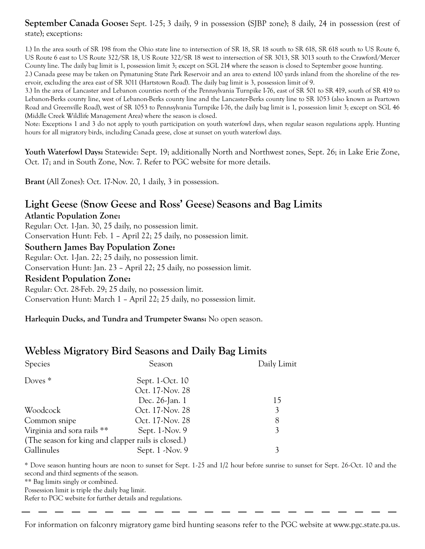### **September Canada Goose:** Sept. 1-25; 3 daily, 9 in possession (SJBP zone); 8 daily, 24 in possession (rest of state); exceptions:

1.) In the area south of SR 198 from the Ohio state line to intersection of SR 18, SR 18 south to SR 618, SR 618 south to US Route 6, US Route 6 east to US Route 322/SR 18, US Route 322/SR 18 west to intersection of SR 3013, SR 3013 south to the Crawford/Mercer County line. The daily bag limit is 1, possession limit 3; except on SGL 214 where the season is closed to September goose hunting.

2.) Canada geese may be taken on Pymatuning State Park Reservoir and an area to extend 100 yards inland from the shoreline of the reservoir, excluding the area east of SR 3011 (Hartstown Road). The daily bag limit is 3, possession limit of 9.

3.) In the area of Lancaster and Lebanon counties north of the Pennsylvania Turnpike I-76, east of SR 501 to SR 419, south of SR 419 to Lebanon-Berks county line, west of Lebanon-Berks county line and the Lancaster-Berks county line to SR 1053 (also known as Peartown Road and Greenville Road), west of SR 1053 to Pennsylvania Turnpike I-76, the daily bag limit is 1, possession limit 3; except on SGL 46 (Middle Creek Wildlife Management Area) where the season is closed.

Note: Exceptions 1 and 3 do not apply to youth participation on youth waterfowl days, when regular season regulations apply. Hunting hours for all migratory birds, including Canada geese, close at sunset on youth waterfowl days.

**Youth Waterfowl Days:** Statewide: Sept. 19; additionally North and Northwest zones, Sept. 26; in Lake Erie Zone, Oct. 17; and in South Zone, Nov. 7. Refer to PGC website for more details.

**Brant** (All Zones): Oct. 17-Nov. 20, 1 daily, 3 in possession.

# **Light Geese (Snow Geese and Ross' Geese) Seasons and Bag Limits**

**Atlantic Population Zone:**

Regular: Oct. 1-Jan. 30, 25 daily, no possession limit.

Conservation Hunt: Feb. 1 – April 22; 25 daily, no possession limit.

#### **Southern James Bay Population Zone:**

Regular: Oct. 1-Jan. 22; 25 daily, no possession limit.

Conservation Hunt: Jan. 23 – April 22; 25 daily, no possession limit.

#### **Resident Population Zone:**

Regular: Oct. 28-Feb. 29; 25 daily, no possession limit. Conservation Hunt: March 1 – April 22; 25 daily, no possession limit.

**Harlequin Ducks, and Tundra and Trumpeter Swans:** No open season.

### **Webless Migratory Bird Seasons and Daily Bag Limits**

| <b>Species</b>                                     | Season            | Daily Limit |
|----------------------------------------------------|-------------------|-------------|
| Doves $*$                                          | Sept. 1-Oct. 10   |             |
|                                                    | Oct. 17-Nov. 28   |             |
|                                                    | Dec. 26-Jan. 1    | 15          |
| Woodcock                                           | Oct. 17-Nov. 28   | 3           |
| Common snipe                                       | Oct. 17-Nov. 28   | 8           |
| Virginia and sora rails **                         | Sept. $1$ -Nov. 9 | 3           |
| (The season for king and clapper rails is closed.) |                   |             |
| Gallinules                                         | Sept. 1 - Nov. 9  |             |

\* Dove season hunting hours are noon to sunset for Sept. 1-25 and 1/2 hour before sunrise to sunset for Sept. 26-Oct. 10 and the second and third segments of the season.

\*\* Bag limits singly or combined.

Possession limit is triple the daily bag limit.

Refer to PGC website for further details and regulations.

For information on falconry migratory game bird hunting seasons refer to the PGC website at www.pgc.state.pa.us.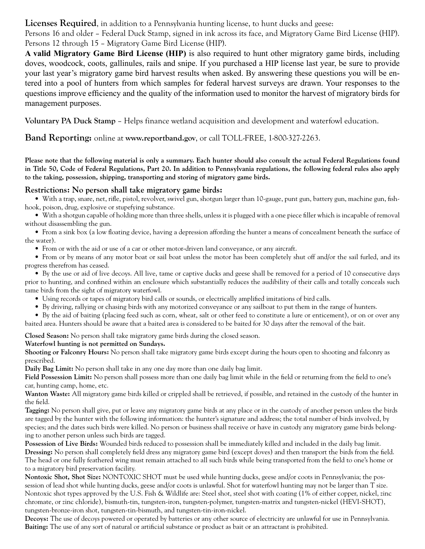### Licenses Required, in addition to a Pennsylvania hunting license, to hunt ducks and geese:

Persons 16 and older – Federal Duck Stamp, signed in ink across its face, and Migratory Game Bird License (HIP). Persons 12 through 15 – Migratory Game Bird License (HIP).

**A valid Migratory Game Bird License (HIP)** is also required to hunt other migratory game birds, including doves, woodcock, coots, gallinules, rails and snipe. If you purchased a HIP license last year, be sure to provide your last year's migratory game bird harvest results when asked. By answering these questions you will be entered into a pool of hunters from which samples for federal harvest surveys are drawn. Your responses to the questions improve efficiency and the quality of the information used to monitor the harvest of migratory birds for management purposes.

**Voluntary PA Duck Stamp** – Helps finance wetland acquisition and development and waterfowl education.

**Band Reporting:** online at **www.reportband.gov**, or call TOLL-FREE, 1-800-327-2263.

**Please note that the following material is only a summary. Each hunter should also consult the actual Federal Regulations found in Title 50, Code of Federal Regulations, Part 20. In addition to Pennsylvania regulations, the following federal rules also apply to the taking, possession, shipping, transporting and storing of migratory game birds.**

#### **Restrictions: No person shall take migratory game birds:**

• With a trap, snare, net, rifle, pistol, revolver, swivel gun, shotgun larger than 10-gauge, punt gun, battery gun, machine gun, fishhook, poison, drug, explosive or stupefying substance.

• With a shotgun capable of holding more than three shells, unless it is plugged with a one piece filler which is incapable of removal without disassembling the gun.

• From a sink box (a low floating device, having a depression affording the hunter a means of concealment beneath the surface of the water).

• From or with the aid or use of a car or other motor-driven land conveyance, or any aircraft.

• From or by means of any motor boat or sail boat unless the motor has been completely shut off and/or the sail furled, and its progress therefrom has ceased.

• By the use or aid of live decoys. All live, tame or captive ducks and geese shall be removed for a period of 10 consecutive days prior to hunting, and confined within an enclosure which substantially reduces the audibility of their calls and totally conceals such tame birds from the sight of migratory waterfowl.

• Using records or tapes of migratory bird calls or sounds, or electrically amplified imitations of bird calls.

• By driving, rallying or chasing birds with any motorized conveyance or any sailboat to put them in the range of hunters.

• By the aid of baiting (placing feed such as corn, wheat, salt or other feed to constitute a lure or enticement), or on or over any baited area. Hunters should be aware that a baited area is considered to be baited for 30 days after the removal of the bait.

**Closed Season:** No person shall take migratory game birds during the closed season.

#### **Waterfowl hunting is not permitted on Sundays.**

**Shooting or Falconry Hours:** No person shall take migratory game birds except during the hours open to shooting and falconry as prescribed.

**Daily Bag Limit:** No person shall take in any one day more than one daily bag limit.

**Field Possession Limit:** No person shall possess more than one daily bag limit while in the field or returning from the field to one's car, hunting camp, home, etc.

**Wanton Waste:** All migratory game birds killed or crippled shall be retrieved, if possible, and retained in the custody of the hunter in the field.

**Tagging:** No person shall give, put or leave any migratory game birds at any place or in the custody of another person unless the birds are tagged by the hunter with the following information: the hunter's signature and address; the total number of birds involved, by species; and the dates such birds were killed. No person or business shall receive or have in custody any migratory game birds belonging to another person unless such birds are tagged.

**Possession of Live Birds:** Wounded birds reduced to possession shall be immediately killed and included in the daily bag limit. **Dressing:** No person shall completely field dress any migratory game bird (except doves) and then transport the birds from the field. The head or one fully feathered wing must remain attached to all such birds while being transported from the field to one's home or to a migratory bird preservation facility.

**Nontoxic Shot, Shot Size:** NONTOXIC SHOT must be used while hunting ducks, geese and/or coots in Pennsylvania; the possession of lead shot while hunting ducks, geese and/or coots is unlawful. Shot for waterfowl hunting may not be larger than T size. Nontoxic shot types approved by the U.S. Fish & Wildlife are: Steel shot, steel shot with coating (1% of either copper, nickel, zinc chromate, or zinc chloride), bismuth-tin, tungsten-iron, tungsten-polymer, tungsten-matrix and tungsten-nickel (HEVI-SHOT), tungsten-bronze-iron shot, tungsten-tin-bismuth, and tungsten-tin-iron-nickel.

**Decoys:** The use of decoys powered or operated by batteries or any other source of electricity are unlawful for use in Pennsylvania. **Baiting:** The use of any sort of natural or artificial substance or product as bait or an attractant is prohibited.